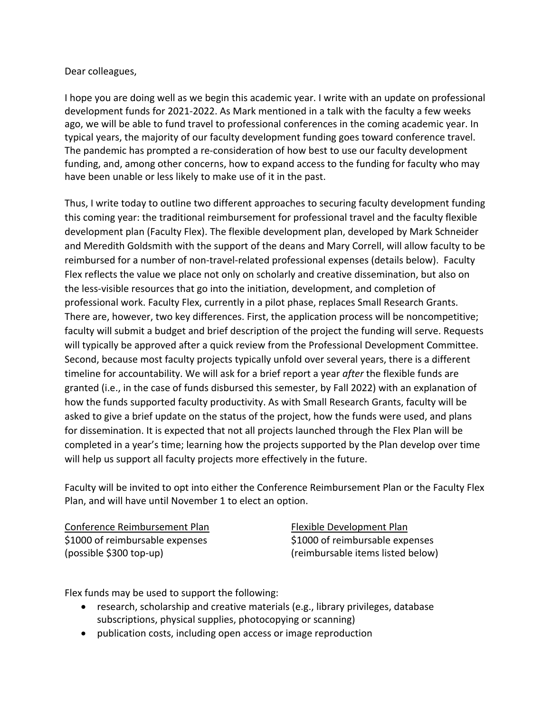## Dear colleagues,

 I hope you are doing well as we begin this academic year. I write with an update on professional development funds for 2021-2022. As Mark mentioned in a talk with the faculty a few weeks ago, we will be able to fund travel to professional conferences in the coming academic year. In typical years, the majority of our faculty development funding goes toward conference travel. The pandemic has prompted a re-consideration of how best to use our faculty development funding, and, among other concerns, how to expand access to the funding for faculty who may have been unable or less likely to make use of it in the past.

 Thus, I write today to outline two different approaches to securing faculty development funding this coming year: the traditional reimbursement for professional travel and the faculty flexible development plan (Faculty Flex). The flexible development plan, developed by Mark Schneider and Meredith Goldsmith with the support of the deans and Mary Correll, will allow faculty to be reimbursed for a number of non-travel-related professional expenses (details below). Faculty Flex reflects the value we place not only on scholarly and creative dissemination, but also on the less-visible resources that go into the initiation, development, and completion of professional work. Faculty Flex, currently in a pilot phase, replaces Small Research Grants. There are, however, two key differences. First, the application process will be noncompetitive; faculty will submit a budget and brief description of the project the funding will serve. Requests will typically be approved after a quick review from the Professional Development Committee. Second, because most faculty projects typically unfold over several years, there is a different timeline for accountability. We will ask for a brief report a year *after* the flexible funds are granted (i.e., in the case of funds disbursed this semester, by Fall 2022) with an explanation of how the funds supported faculty productivity. As with Small Research Grants, faculty will be asked to give a brief update on the status of the project, how the funds were used, and plans for dissemination. It is expected that not all projects launched through the Flex Plan will be completed in a year's time; learning how the projects supported by the Plan develop over time will help us support all faculty projects more effectively in the future.

 Faculty will be invited to opt into either the Conference Reimbursement Plan or the Faculty Flex Plan, and will have until November 1 to elect an option.

Conference Reimbursement Plan Flexible Development Plan \$1000 of reimbursable expenses \$1000 of reimbursable expenses (possible \$300 top-up)

Flexible Development Plan \$1000 of reimbursable expenses (possible \$300 top-up) (reimbursable items listed below)

Flex funds may be used to support the following:

- • research, scholarship and creative materials (e.g., library privileges, database subscriptions, physical supplies, photocopying or scanning)
- publication costs, including open access or image reproduction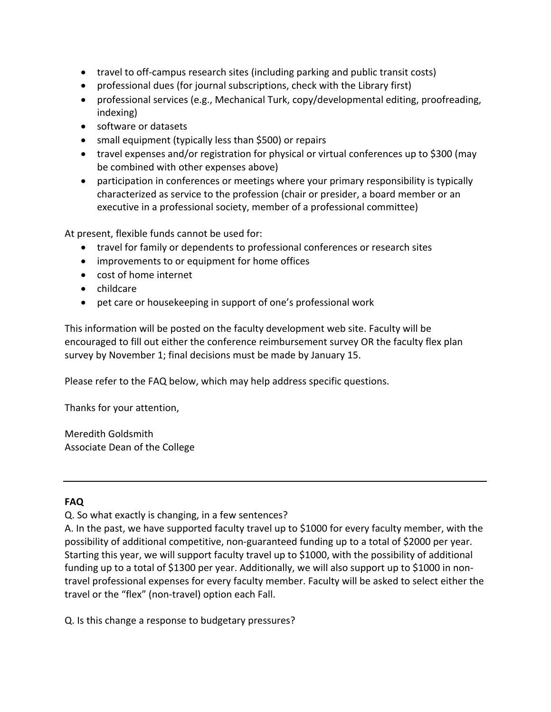- travel to off-campus research sites (including parking and public transit costs)
- professional dues (for journal subscriptions, check with the Library first)
- • professional services (e.g., Mechanical Turk, copy/developmental editing, proofreading, indexing)
- software or datasets
- small equipment (typically less than \$500) or repairs
- • travel expenses and/or registration for physical or virtual conferences up to \$300 (may be combined with other expenses above)
- • participation in conferences or meetings where your primary responsibility is typically characterized as service to the profession (chair or presider, a board member or an executive in a professional society, member of a professional committee)

At present, flexible funds cannot be used for:

- travel for family or dependents to professional conferences or research sites
- improvements to or equipment for home offices
- cost of home internet
- childcare
- pet care or housekeeping in support of one's professional work

 This information will be posted on the faculty development web site. Faculty will be encouraged to fill out either the conference reimbursement survey OR the faculty flex plan survey by November 1; final decisions must be made by January 15.

Please refer to the FAQ below, which may help address specific questions.

Thanks for your attention,

 Meredith Goldsmith Associate Dean of the College

## **FAQ**

Q. So what exactly is changing, in a few sentences?

 A. In the past, we have supported faculty travel up to \$1000 for every faculty member, with the possibility of additional competitive, non-guaranteed funding up to a total of \$2000 per year. Starting this year, we will support faculty travel up to \$1000, with the possibility of additional funding up to a total of \$1300 per year. Additionally, we will also support up to \$1000 in non- travel professional expenses for every faculty member. Faculty will be asked to select either the travel or the "flex" (non-travel) option each Fall.

Q. Is this change a response to budgetary pressures?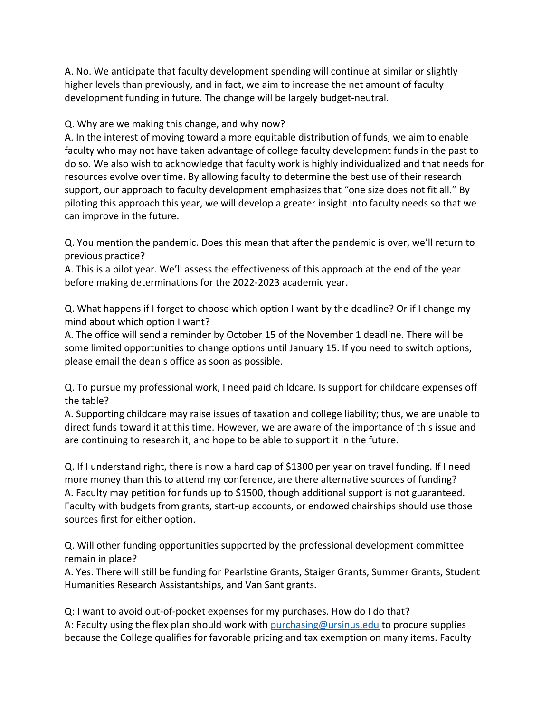A. No. We anticipate that faculty development spending will continue at similar or slightly higher levels than previously, and in fact, we aim to increase the net amount of faculty development funding in future. The change will be largely budget-neutral.

## Q. Why are we making this change, and why now?

 A. In the interest of moving toward a more equitable distribution of funds, we aim to enable faculty who may not have taken advantage of college faculty development funds in the past to do so. We also wish to acknowledge that faculty work is highly individualized and that needs for resources evolve over time. By allowing faculty to determine the best use of their research support, our approach to faculty development emphasizes that "one size does not fit all." By piloting this approach this year, we will develop a greater insight into faculty needs so that we can improve in the future.

 Q. You mention the pandemic. Does this mean that after the pandemic is over, we'll return to previous practice?

 A. This is a pilot year. We'll assess the effectiveness of this approach at the end of the year before making determinations for the 2022-2023 academic year.

 Q. What happens if I forget to choose which option I want by the deadline? Or if I change my mind about which option I want?

 A. The office will send a reminder by October 15 of the November 1 deadline. There will be some limited opportunities to change options until January 15. If you need to switch options, please email the dean's office as soon as possible.

 Q. To pursue my professional work, I need paid childcare. Is support for childcare expenses off the table?

 A. Supporting childcare may raise issues of taxation and college liability; thus, we are unable to direct funds toward it at this time. However, we are aware of the importance of this issue and are continuing to research it, and hope to be able to support it in the future.

 Q. If I understand right, there is now a hard cap of \$1300 per year on travel funding. If I need more money than this to attend my conference, are there alternative sources of funding? A. Faculty may petition for funds up to \$1500, though additional support is not guaranteed. Faculty with budgets from grants, start-up accounts, or endowed chairships should use those sources first for either option.

 Q. Will other funding opportunities supported by the professional development committee remain in place?

 A. Yes. There will still be funding for Pearlstine Grants, Staiger Grants, Summer Grants, Student Humanities Research Assistantships, and Van Sant grants.

 Q: I want to avoid out-of-pocket expenses for my purchases. How do I do that? A: Faculty using the flex plan should work with **purchasing@ursinus.edu** to procure supplies because the College qualifies for favorable pricing and tax exemption on many items. Faculty